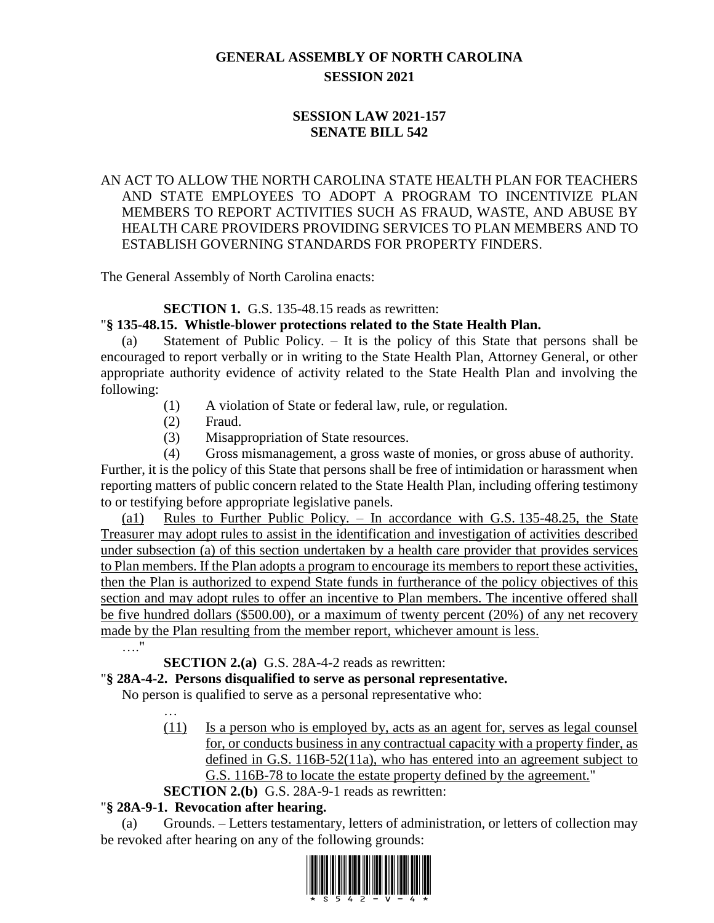# **GENERAL ASSEMBLY OF NORTH CAROLINA SESSION 2021**

## **SESSION LAW 2021-157 SENATE BILL 542**

### AN ACT TO ALLOW THE NORTH CAROLINA STATE HEALTH PLAN FOR TEACHERS AND STATE EMPLOYEES TO ADOPT A PROGRAM TO INCENTIVIZE PLAN MEMBERS TO REPORT ACTIVITIES SUCH AS FRAUD, WASTE, AND ABUSE BY HEALTH CARE PROVIDERS PROVIDING SERVICES TO PLAN MEMBERS AND TO ESTABLISH GOVERNING STANDARDS FOR PROPERTY FINDERS.

The General Assembly of North Carolina enacts:

**SECTION 1.** G.S. 135-48.15 reads as rewritten:

### "**§ 135-48.15. Whistle-blower protections related to the State Health Plan.**

Statement of Public Policy.  $-$  It is the policy of this State that persons shall be encouraged to report verbally or in writing to the State Health Plan, Attorney General, or other appropriate authority evidence of activity related to the State Health Plan and involving the following:

- (1) A violation of State or federal law, rule, or regulation.
- (2) Fraud.
- (3) Misappropriation of State resources.
- (4) Gross mismanagement, a gross waste of monies, or gross abuse of authority.

Further, it is the policy of this State that persons shall be free of intimidation or harassment when reporting matters of public concern related to the State Health Plan, including offering testimony to or testifying before appropriate legislative panels.

(a1) Rules to Further Public Policy. – In accordance with G.S.  $135-48.25$ , the State Treasurer may adopt rules to assist in the identification and investigation of activities described under subsection (a) of this section undertaken by a health care provider that provides services to Plan members. If the Plan adopts a program to encourage its members to report these activities, then the Plan is authorized to expend State funds in furtherance of the policy objectives of this section and may adopt rules to offer an incentive to Plan members. The incentive offered shall be five hundred dollars (\$500.00), or a maximum of twenty percent (20%) of any net recovery made by the Plan resulting from the member report, whichever amount is less.

…."

**SECTION 2.(a)** G.S. 28A-4-2 reads as rewritten:

### "**§ 28A-4-2. Persons disqualified to serve as personal representative.**

No person is qualified to serve as a personal representative who:

- (11) Is a person who is employed by, acts as an agent for, serves as legal counsel for, or conducts business in any contractual capacity with a property finder, as defined in G.S. 116B-52(11a), who has entered into an agreement subject to G.S. 116B-78 to locate the estate property defined by the agreement."
- **SECTION 2.(b)** G.S. 28A-9-1 reads as rewritten:

### "**§ 28A-9-1. Revocation after hearing.**

(a) Grounds. – Letters testamentary, letters of administration, or letters of collection may be revoked after hearing on any of the following grounds:

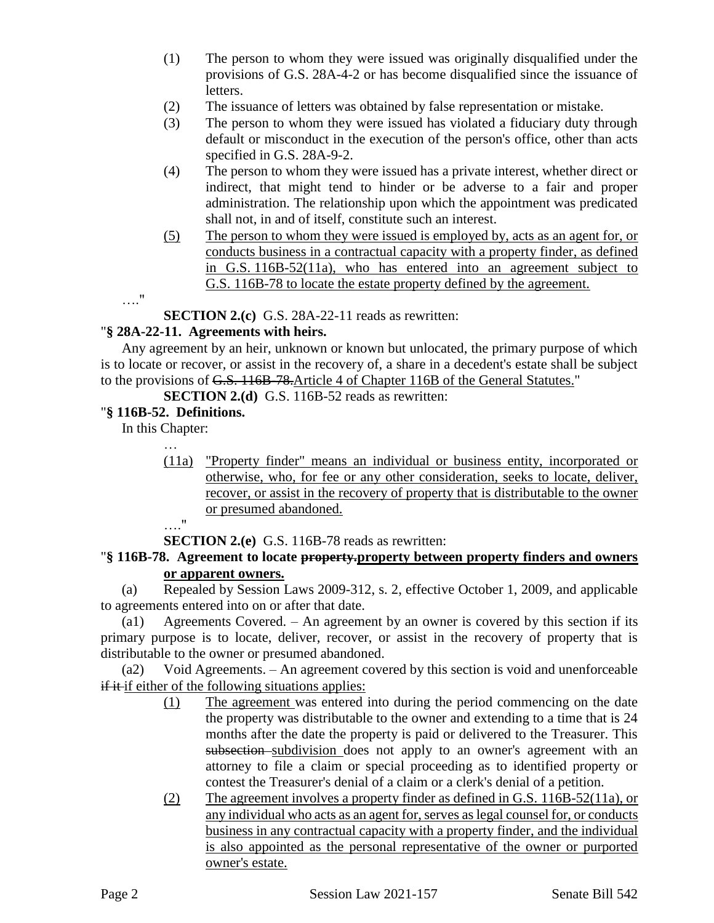- (1) The person to whom they were issued was originally disqualified under the provisions of G.S. 28A-4-2 or has become disqualified since the issuance of letters.
- (2) The issuance of letters was obtained by false representation or mistake.
- (3) The person to whom they were issued has violated a fiduciary duty through default or misconduct in the execution of the person's office, other than acts specified in G.S. 28A-9-2.
- (4) The person to whom they were issued has a private interest, whether direct or indirect, that might tend to hinder or be adverse to a fair and proper administration. The relationship upon which the appointment was predicated shall not, in and of itself, constitute such an interest.
- (5) The person to whom they were issued is employed by, acts as an agent for, or conducts business in a contractual capacity with a property finder, as defined in G.S. 116B-52(11a), who has entered into an agreement subject to G.S. 116B-78 to locate the estate property defined by the agreement.

…."

**SECTION 2.(c)** G.S. 28A-22-11 reads as rewritten:

### "**§ 28A-22-11. Agreements with heirs.**

Any agreement by an heir, unknown or known but unlocated, the primary purpose of which is to locate or recover, or assist in the recovery of, a share in a decedent's estate shall be subject to the provisions of G.S. 116B-78.Article 4 of Chapter 116B of the General Statutes."

**SECTION 2.(d)** G.S. 116B-52 reads as rewritten:

### "**§ 116B-52. Definitions.**

In this Chapter:

- … (11a) "Property finder" means an individual or business entity, incorporated or otherwise, who, for fee or any other consideration, seeks to locate, deliver, recover, or assist in the recovery of property that is distributable to the owner or presumed abandoned.
	- …."

**SECTION 2.(e)** G.S. 116B-78 reads as rewritten:

### "**§ 116B-78. Agreement to locate property.property between property finders and owners or apparent owners.**

(a) Repealed by Session Laws 2009-312, s. 2, effective October 1, 2009, and applicable to agreements entered into on or after that date.

(a1) Agreements Covered. – An agreement by an owner is covered by this section if its primary purpose is to locate, deliver, recover, or assist in the recovery of property that is distributable to the owner or presumed abandoned.

(a2) Void Agreements. – An agreement covered by this section is void and unenforceable if it if either of the following situations applies:

- (1) The agreement was entered into during the period commencing on the date the property was distributable to the owner and extending to a time that is 24 months after the date the property is paid or delivered to the Treasurer. This subsection subdivision does not apply to an owner's agreement with an attorney to file a claim or special proceeding as to identified property or contest the Treasurer's denial of a claim or a clerk's denial of a petition.
- (2) The agreement involves a property finder as defined in G.S. 116B-52(11a), or any individual who acts as an agent for, serves as legal counsel for, or conducts business in any contractual capacity with a property finder, and the individual is also appointed as the personal representative of the owner or purported owner's estate.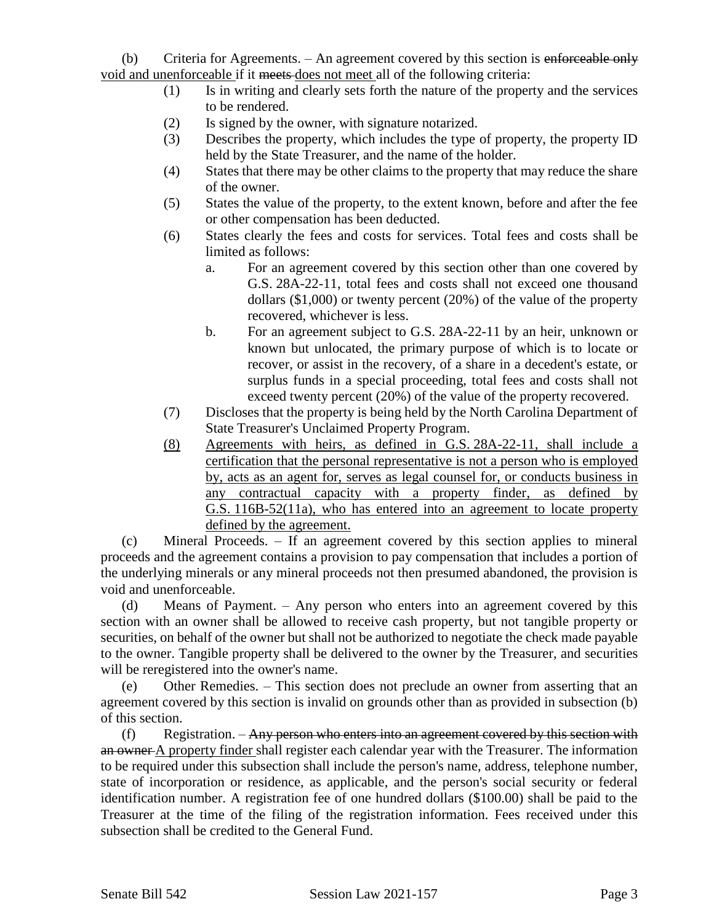(b) Criteria for Agreements. – An agreement covered by this section is enforceable only void and unenforceable if it meets does not meet all of the following criteria:

- (1) Is in writing and clearly sets forth the nature of the property and the services to be rendered.
- (2) Is signed by the owner, with signature notarized.
- (3) Describes the property, which includes the type of property, the property ID held by the State Treasurer, and the name of the holder.
- (4) States that there may be other claims to the property that may reduce the share of the owner.
- (5) States the value of the property, to the extent known, before and after the fee or other compensation has been deducted.
- (6) States clearly the fees and costs for services. Total fees and costs shall be limited as follows:
	- a. For an agreement covered by this section other than one covered by G.S. 28A-22-11, total fees and costs shall not exceed one thousand dollars (\$1,000) or twenty percent (20%) of the value of the property recovered, whichever is less.
	- b. For an agreement subject to G.S. 28A-22-11 by an heir, unknown or known but unlocated, the primary purpose of which is to locate or recover, or assist in the recovery, of a share in a decedent's estate, or surplus funds in a special proceeding, total fees and costs shall not exceed twenty percent (20%) of the value of the property recovered.
- (7) Discloses that the property is being held by the North Carolina Department of State Treasurer's Unclaimed Property Program.
- (8) Agreements with heirs, as defined in G.S. 28A-22-11, shall include a certification that the personal representative is not a person who is employed by, acts as an agent for, serves as legal counsel for, or conducts business in any contractual capacity with a property finder, as defined by G.S. 116B-52(11a), who has entered into an agreement to locate property defined by the agreement.

(c) Mineral Proceeds. – If an agreement covered by this section applies to mineral proceeds and the agreement contains a provision to pay compensation that includes a portion of the underlying minerals or any mineral proceeds not then presumed abandoned, the provision is void and unenforceable.

(d) Means of Payment. – Any person who enters into an agreement covered by this section with an owner shall be allowed to receive cash property, but not tangible property or securities, on behalf of the owner but shall not be authorized to negotiate the check made payable to the owner. Tangible property shall be delivered to the owner by the Treasurer, and securities will be reregistered into the owner's name.

(e) Other Remedies. – This section does not preclude an owner from asserting that an agreement covered by this section is invalid on grounds other than as provided in subsection (b) of this section.

 $(f)$  Registration. – Any person who enters into an agreement covered by this section with an owner A property finder shall register each calendar year with the Treasurer. The information to be required under this subsection shall include the person's name, address, telephone number, state of incorporation or residence, as applicable, and the person's social security or federal identification number. A registration fee of one hundred dollars (\$100.00) shall be paid to the Treasurer at the time of the filing of the registration information. Fees received under this subsection shall be credited to the General Fund.